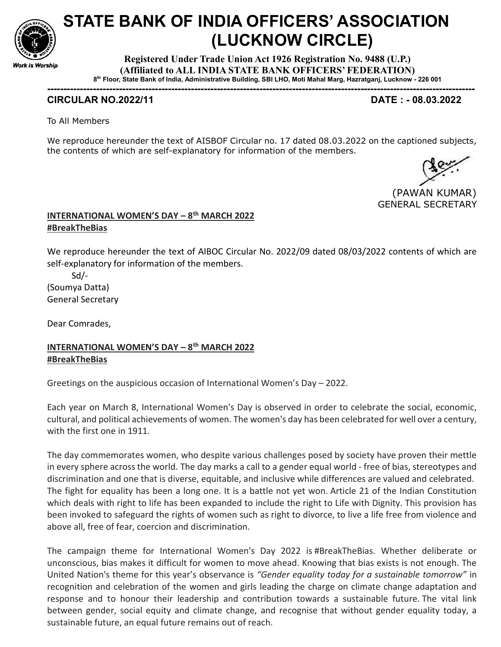

# STATE BANK OF INDIA OFFICERS' ASSOCIATION (LUCKNOW CIRCLE)

Registered Under Trade Union Act 1926 Registration No. 9488 (U.P.) (Affiliated to ALL INDIA STATE BANK OFFICERS' FEDERATION) 8 th Floor, State Bank of India, Administrative Building, SBI LHO, Moti Mahal Marg, Hazratganj, Lucknow - 226 001

-----------------------------------------------------------------------------------------------------------------------------------

### CIRCULAR NO.2022/11 DATE : - 08.03.2022

To All Members

We reproduce hereunder the text of AISBOF Circular no. 17 dated 08.03.2022 on the captioned subjects, the contents of which are self-explanatory for information of the members.

 (PAWAN KUMAR) GENERAL SECRETARY

### INTERNATIONAL WOMEN'S DAY - 8<sup>th</sup> MARCH 2022 #BreakTheBias

We reproduce hereunder the text of AIBOC Circular No. 2022/09 dated 08/03/2022 contents of which are self-explanatory for information of the members.

 Sd/- (Soumya Datta) General Secretary

Dear Comrades,

## INTERNATIONAL WOMEN'S DAY – 8th MARCH 2022 #BreakTheBias

Greetings on the auspicious occasion of International Women's Day – 2022.

Each year on March 8, International Women's Day is observed in order to celebrate the social, economic, cultural, and political achievements of women. The women's day has been celebrated for well over a century, with the first one in 1911.

The day commemorates women, who despite various challenges posed by society have proven their mettle in every sphere across the world. The day marks a call to a gender equal world - free of bias, stereotypes and discrimination and one that is diverse, equitable, and inclusive while differences are valued and celebrated. The fight for equality has been a long one. It is a battle not yet won. Article 21 of the Indian Constitution which deals with right to life has been expanded to include the right to Life with Dignity. This provision has been invoked to safeguard the rights of women such as right to divorce, to live a life free from violence and above all, free of fear, coercion and discrimination.

The campaign theme for International Women's Day 2022 is #BreakTheBias. Whether deliberate or unconscious, bias makes it difficult for women to move ahead. Knowing that bias exists is not enough. The United Nation's theme for this year's observance is "Gender equality today for a sustainable tomorrow" in recognition and celebration of the women and girls leading the charge on climate change adaptation and response and to honour their leadership and contribution towards a sustainable future. The vital link between gender, social equity and climate change, and recognise that without gender equality today, a sustainable future, an equal future remains out of reach.